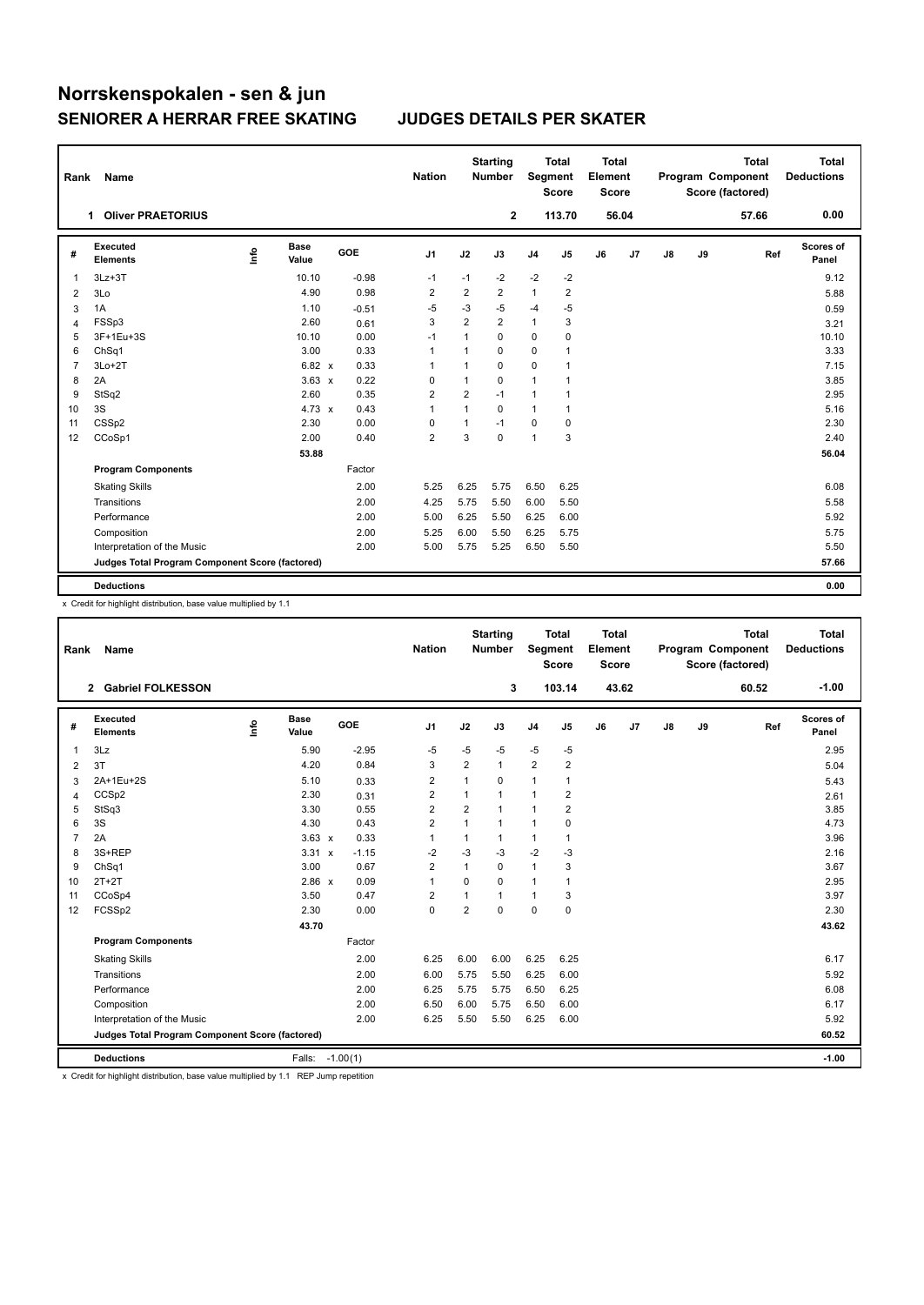## **Norrskenspokalen - sen & jun SENIORER A HERRAR FREE SKATING JUDGES DETAILS PER SKATER**

| Rank | Name                                            |      |                      |         | <b>Nation</b>  |                         | <b>Starting</b><br><b>Number</b> | Segment        | Total<br><b>Score</b> | <b>Total</b><br>Element<br><b>Score</b> |                |    |    | <b>Total</b><br>Program Component<br>Score (factored) | <b>Total</b><br><b>Deductions</b> |
|------|-------------------------------------------------|------|----------------------|---------|----------------|-------------------------|----------------------------------|----------------|-----------------------|-----------------------------------------|----------------|----|----|-------------------------------------------------------|-----------------------------------|
|      | <b>Oliver PRAETORIUS</b><br>1                   |      |                      |         |                |                         | $\mathbf{2}$                     |                | 113.70                |                                         | 56.04          |    |    | 57.66                                                 | 0.00                              |
| #    | Executed<br><b>Elements</b>                     | info | <b>Base</b><br>Value | GOE     | J <sub>1</sub> | J2                      | J3                               | J <sub>4</sub> | J <sub>5</sub>        | J6                                      | J <sub>7</sub> | J8 | J9 | Ref                                                   | Scores of<br>Panel                |
| 1    | $3Lz + 3T$                                      |      | 10.10                | $-0.98$ | $-1$           | $-1$                    | $-2$                             | $-2$           | $-2$                  |                                         |                |    |    |                                                       | 9.12                              |
| 2    | 3Lo                                             |      | 4.90                 | 0.98    | 2              | $\overline{\mathbf{c}}$ | 2                                | 1              | 2                     |                                         |                |    |    |                                                       | 5.88                              |
| 3    | 1A                                              |      | 1.10                 | $-0.51$ | $-5$           | $-3$                    | $-5$                             | $-4$           | -5                    |                                         |                |    |    |                                                       | 0.59                              |
| 4    | FSSp3                                           |      | 2.60                 | 0.61    | 3              | $\overline{2}$          | $\overline{2}$                   | $\mathbf{1}$   | 3                     |                                         |                |    |    |                                                       | 3.21                              |
| 5    | 3F+1Eu+3S                                       |      | 10.10                | 0.00    | $-1$           | 1                       | $\Omega$                         | 0              | 0                     |                                         |                |    |    |                                                       | 10.10                             |
| 6    | ChSq1                                           |      | 3.00                 | 0.33    | $\mathbf{1}$   | 1                       | $\mathbf 0$                      | $\mathbf 0$    |                       |                                         |                |    |    |                                                       | 3.33                              |
| 7    | $3Lo+2T$                                        |      | 6.82 x               | 0.33    | 1              | 1                       | $\Omega$                         | $\mathbf 0$    | 1                     |                                         |                |    |    |                                                       | 7.15                              |
| 8    | 2A                                              |      | $3.63 \times$        | 0.22    | 0              | $\mathbf{1}$            | 0                                | 1              |                       |                                         |                |    |    |                                                       | 3.85                              |
| 9    | StSq2                                           |      | 2.60                 | 0.35    | $\overline{2}$ | $\overline{2}$          | $-1$                             | 1              | 1                     |                                         |                |    |    |                                                       | 2.95                              |
| 10   | 3S                                              |      | 4.73 $\times$        | 0.43    | $\mathbf{1}$   | 1                       | 0                                | 1              | 1                     |                                         |                |    |    |                                                       | 5.16                              |
| 11   | CSSp2                                           |      | 2.30                 | 0.00    | 0              | 1                       | $-1$                             | $\mathbf 0$    | 0                     |                                         |                |    |    |                                                       | 2.30                              |
| 12   | CCoSp1                                          |      | 2.00                 | 0.40    | $\overline{2}$ | 3                       | $\Omega$                         | $\mathbf{1}$   | 3                     |                                         |                |    |    |                                                       | 2.40                              |
|      |                                                 |      | 53.88                |         |                |                         |                                  |                |                       |                                         |                |    |    |                                                       | 56.04                             |
|      | <b>Program Components</b>                       |      |                      | Factor  |                |                         |                                  |                |                       |                                         |                |    |    |                                                       |                                   |
|      | <b>Skating Skills</b>                           |      |                      | 2.00    | 5.25           | 6.25                    | 5.75                             | 6.50           | 6.25                  |                                         |                |    |    |                                                       | 6.08                              |
|      | Transitions                                     |      |                      | 2.00    | 4.25           | 5.75                    | 5.50                             | 6.00           | 5.50                  |                                         |                |    |    |                                                       | 5.58                              |
|      | Performance                                     |      |                      | 2.00    | 5.00           | 6.25                    | 5.50                             | 6.25           | 6.00                  |                                         |                |    |    |                                                       | 5.92                              |
|      | Composition                                     |      |                      | 2.00    | 5.25           | 6.00                    | 5.50                             | 6.25           | 5.75                  |                                         |                |    |    |                                                       | 5.75                              |
|      | Interpretation of the Music                     |      |                      | 2.00    | 5.00           | 5.75                    | 5.25                             | 6.50           | 5.50                  |                                         |                |    |    |                                                       | 5.50                              |
|      | Judges Total Program Component Score (factored) |      |                      |         |                |                         |                                  |                |                       |                                         |                |    |    |                                                       | 57.66                             |
|      | <b>Deductions</b>                               |      |                      |         |                |                         |                                  |                |                       |                                         |                |    |    |                                                       | 0.00                              |

x Credit for highlight distribution, base value multiplied by 1.1

| Rank                                            | Name                        |      |                      |            |      | <b>Nation</b>           |                | <b>Starting</b><br><b>Number</b> | Segment        | <b>Total</b><br><b>Score</b> | <b>Total</b><br>Element<br><b>Score</b> |       |               |    | <b>Total</b><br>Program Component<br>Score (factored) | <b>Total</b><br><b>Deductions</b> |
|-------------------------------------------------|-----------------------------|------|----------------------|------------|------|-------------------------|----------------|----------------------------------|----------------|------------------------------|-----------------------------------------|-------|---------------|----|-------------------------------------------------------|-----------------------------------|
|                                                 | 2 Gabriel FOLKESSON         |      |                      |            |      |                         |                | 3                                |                | 103.14                       |                                         | 43.62 |               |    | 60.52                                                 | $-1.00$                           |
| #                                               | Executed<br><b>Elements</b> | ١mfo | <b>Base</b><br>Value | GOE        |      | J <sub>1</sub>          | J2             | J3                               | J <sub>4</sub> | J <sub>5</sub>               | J6                                      | J7    | $\mathsf{J}8$ | J9 | Ref                                                   | Scores of<br>Panel                |
| 1                                               | 3Lz                         |      | 5.90                 | $-2.95$    |      | $-5$                    | $-5$           | $-5$                             | $-5$           | $-5$                         |                                         |       |               |    |                                                       | 2.95                              |
| 2                                               | 3T                          |      | 4.20                 |            | 0.84 | 3                       | $\overline{2}$ | $\mathbf{1}$                     | $\overline{2}$ | $\overline{2}$               |                                         |       |               |    |                                                       | 5.04                              |
| 3                                               | 2A+1Eu+2S                   |      | 5.10                 |            | 0.33 | $\overline{2}$          | $\mathbf{1}$   | $\Omega$                         | 1              | $\mathbf{1}$                 |                                         |       |               |    |                                                       | 5.43                              |
| 4                                               | CCSp2                       |      | 2.30                 |            | 0.31 | 2                       | $\mathbf{1}$   | $\mathbf{1}$                     | $\mathbf{1}$   | $\overline{2}$               |                                         |       |               |    |                                                       | 2.61                              |
| 5                                               | StSq3                       |      | 3.30                 |            | 0.55 | 2                       | $\overline{2}$ | $\mathbf{1}$                     | $\mathbf{1}$   | $\overline{2}$               |                                         |       |               |    |                                                       | 3.85                              |
| 6                                               | 3S                          |      | 4.30                 |            | 0.43 | $\overline{\mathbf{c}}$ | 1              | $\mathbf{1}$                     | 1              | $\mathbf 0$                  |                                         |       |               |    |                                                       | 4.73                              |
| $\overline{7}$                                  | 2A                          |      | $3.63 \times$        |            | 0.33 | $\mathbf{1}$            | $\mathbf{1}$   | 1                                | 1              | $\mathbf{1}$                 |                                         |       |               |    |                                                       | 3.96                              |
| 8                                               | 3S+REP                      |      | $3.31 \times$        | $-1.15$    |      | $-2$                    | $-3$           | $-3$                             | $-2$           | $-3$                         |                                         |       |               |    |                                                       | 2.16                              |
| 9                                               | ChSq1                       |      | 3.00                 |            | 0.67 | $\overline{2}$          | 1              | 0                                | 1              | 3                            |                                         |       |               |    |                                                       | 3.67                              |
| 10                                              | $2T+2T$                     |      | 2.86 x               |            | 0.09 | $\overline{1}$          | $\Omega$       | $\Omega$                         | 1              |                              |                                         |       |               |    |                                                       | 2.95                              |
| 11                                              | CCoSp4                      |      | 3.50                 |            | 0.47 | $\overline{2}$          | 1              | $\mathbf{1}$                     | 1              | 3                            |                                         |       |               |    |                                                       | 3.97                              |
| 12                                              | FCSSp2                      |      | 2.30                 |            | 0.00 | $\Omega$                | $\overline{2}$ | $\Omega$                         | 0              | $\mathbf 0$                  |                                         |       |               |    |                                                       | 2.30                              |
|                                                 |                             |      | 43.70                |            |      |                         |                |                                  |                |                              |                                         |       |               |    |                                                       | 43.62                             |
|                                                 | <b>Program Components</b>   |      |                      | Factor     |      |                         |                |                                  |                |                              |                                         |       |               |    |                                                       |                                   |
|                                                 | <b>Skating Skills</b>       |      |                      |            | 2.00 | 6.25                    | 6.00           | 6.00                             | 6.25           | 6.25                         |                                         |       |               |    |                                                       | 6.17                              |
|                                                 | Transitions                 |      |                      |            | 2.00 | 6.00                    | 5.75           | 5.50                             | 6.25           | 6.00                         |                                         |       |               |    |                                                       | 5.92                              |
|                                                 | Performance                 |      |                      |            | 2.00 | 6.25                    | 5.75           | 5.75                             | 6.50           | 6.25                         |                                         |       |               |    |                                                       | 6.08                              |
|                                                 | Composition                 |      |                      |            | 2.00 | 6.50                    | 6.00           | 5.75                             | 6.50           | 6.00                         |                                         |       |               |    |                                                       | 6.17                              |
|                                                 | Interpretation of the Music |      |                      |            | 2.00 | 6.25                    | 5.50           | 5.50                             | 6.25           | 6.00                         |                                         |       |               |    |                                                       | 5.92                              |
| Judges Total Program Component Score (factored) |                             |      |                      |            |      |                         |                |                                  |                |                              |                                         |       | 60.52         |    |                                                       |                                   |
|                                                 | <b>Deductions</b>           |      | Falls:               | $-1.00(1)$ |      |                         |                |                                  |                |                              |                                         |       |               |    |                                                       | $-1.00$                           |

x Credit for highlight distribution, base value multiplied by 1.1 REP Jump repetition